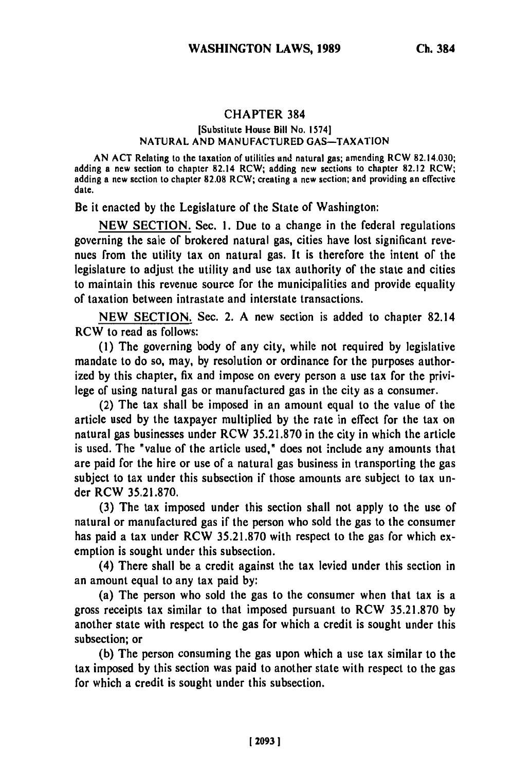## **CHAPTER 384**

## [Substitute House Bill No. 1574] NATURAL AND MANUFACTURED GAS-TAXATION

**AN ACT** Relating to the taxation of utilities and natural gas; amending RCW 82.14.030; adding a new section to chapter 82.14 RCW; adding new sections to chapter **82.12** RCW; adding a new section to chapter **82.08** RCW; creating a new section; and providing an effective date.

Be it enacted **by** the Legislature of the State of Washington:

**NEW SECTION.** Sec. **1.** Due to a change in the federal regulations governing the sale of brokered natural gas, cities have lost significant **revc**nues from the utility tax on natural gas. It is therefore the intent of the legislature to adjust the utility and use tax authority of the state and cities to maintain this revenue source for the municipalities and provide equality of taxation between intrastate and interstate transactions.

**NEW SECTION.** Sec. 2. **A** new section is added to chapter 82.14 RCW to read as follows:

**(1)** The governing body of any city, while not required **by** legislative mandate to do so, may, **by** resolution or ordinance for the purposes authorized **by** this chapter, fix and impose on every person a use tax for the privi**lege** of using natural gas or manufactured gas in the city as a consumer.

(2) The tax shall be imposed in an amount equal to the value of the article used **by** the taxpayer multiplied **by** the rate in effect for the tax on natural gas businesses under RCW **35.21.870** in the city in which the article is used. The "value of the article used," does not include any amounts that are paid for the hire or use of a natural gas business in transporting the gas subject to tax under this subsection if those amounts **are** subject to tax under RCW **35.21.870.**

**(3)** The tax imposed under this section shall not apply to the use of natural or manufactured gas if the person who sold the gas to the consumer has paid a tax under RCW **35.21.870** with respect to the gas for which **cx**emption is sought under this subsection.

(4) There shall be a credit against the tax levied under this section in an amount equal to any tax paid **by:**

(a) The person who sold the gas to the consumer when that tax is a gross receipts tax similar to that imposed pursuant to RCW **35.21.870 by** another state with respect to the gas for which a credit is sought under this subsection; or

**(b)** The person consuming the gas upon which a use tax similar to the tax imposed **by** this section was paid to another state with respect to the gas for which a credit is sought under this subsection.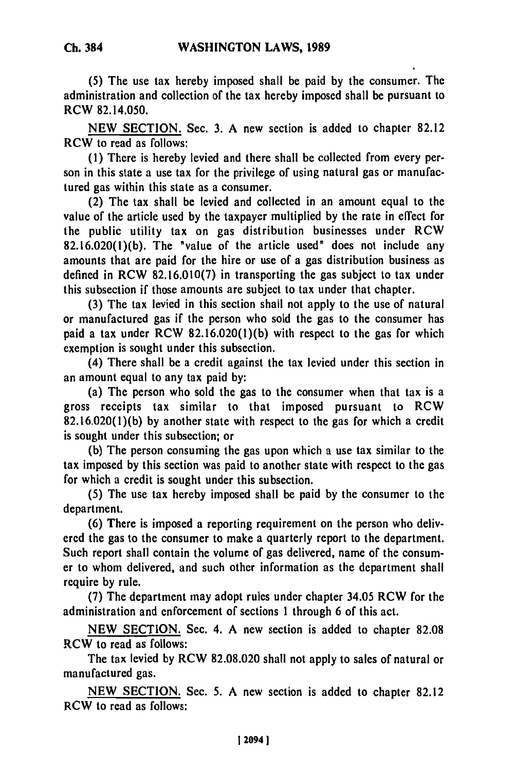(5) The use tax hereby imposed shall be paid **by** the consumer. The administration and collection of the tax hereby imposed shall be pursuant to RCW 82.14.050.

**NEW SECTION.** Sec. **3. A** new section is added to chapter **82.12** RCW to read as follows:

**(1)** There is hereby levied and there shall be collected from every person in this state a use tax for the privilege of using natural gas or manufactured gas within this state as a consumer.

(2) The tax shall be levied and collected in an amount equal to the value of the article used **by** the taxpayer multiplied **by** the rate in effect for the public utility tax on gas distribution businesses under RCW **82.16.020(l)(b).** The "value of the article used" does not include any amounts that are paid for the hire or use of a gas distribution business as defined in RCW **82.16.010(7)** in transporting the gas subject to tax under this subsection if those amounts are subject to tax under that chapter.

**(3)** The tax levied in this section shall not apply to the use of natural or manufactured gas if the person who sold the gas to the consumer has paid a tax under RCW **82.16.020(l)(b)** with respect to the gas for which exemption is sought under this subsection.

(4) There shall be a credit against the tax levied under this section in an amount equal to any tax paid **by:**

(a) The person who sold the gas to the consumer when that tax is a gross receipts tax similar to that imposed pursuant to RCW **82.16.020(l)(b) by** another state with respect to the gas for which a credit is sought under this subsection; or

**(b)** The person consuming the gas upon which a use tax similar to the tax imposed **by** this section was paid to another state with respect to the gas for which a credit is sought under this subsection.

**(5)** The use tax hereby imposed shall be paid **by** the consumer to the department.

**(6)** There is imposed a reporting requirement on the person who delivered the gas to the consumer to make a quarterly report to the department. Such report shall contain the volume of gas delivered, name of the consumer to whom delivered, and such other information as the department shall require **by** rule.

**(7)** The department may adopt rules under chapter 34.05 RCW for the administration and enforcement of sections **1** through 6 of this act.

**NEW SECTION.** Sec. 4. **A** new section is added to chapter **82.08** RCW to read as follows:

The tax levied **by** RCW **82.08.020** shall not apply to sales of natural or manufactured gas.

**NEW** SECTION. Sec. **5.** A new section is added to chapter **82.12** RCW to read as follows: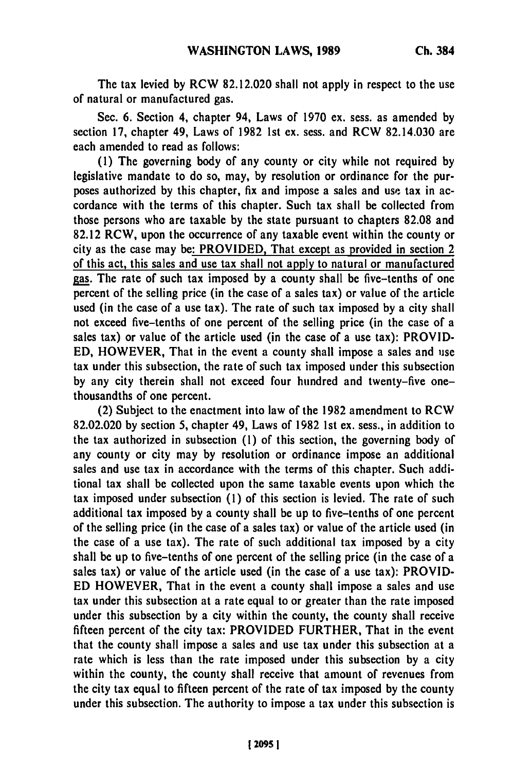The tax levied **by** RCW **82.12.020** shall not apply in respect to the use of natural or manufactured gas.

Sec. **6.** Section 4, chapter 94, Laws of **1970** ex. sess. as amended **by** section **17,** chapter 49, Laws of **1982 1st** ex. sess. and RCW 82.14.030 are each amended to read as follows:

**(1)** The governing body of any county or city while not required **by** legislative mandate to do so, may, **by** resolution or ordinance for the purposes authorized **by** this chapter, fix and impose a sales and **use** tax in accordance with the terms of this chapter. Such tax shall be collected from those persons who are taxable **by** the state pursuant to chapters **82.08** and **82.12** RCW, upon the occurrence of any taxable event within the county or city as the case may be: PROVIDED, That except as provided in section 2 of this act, this sales and use tax shall not apply to natural or manufactured gas. The rate of such tax imposed **by** a county shall be five-tenths of one percent of the selling price (in the case of a sales tax) or value of the article used (in the case of a use tax). The rate of such tax imposed **by** a city shall not exceed five-tenths of one percent of the selling price (in the case of a sales tax) or value of the article used (in the case of a use tax): PROVID-**ED,** HOWEVER, That in the event a county shall impose a sales and use tax under this subsection, the rate of such tax imposed under this subsection **by** any city therein shall not exceed four hundred and twenty-five onethousandths of one percent.

(2) Subject to the enactment into law of the **1982** amendment to RCW **82.02.020 by** section **5,** chapter 49, Laws of **1982 1st** ex. sess., in addition to the tax authorized in subsection **(1)** of this section, the governing body of any county or city may **by** resolution or ordinance impose an additional sales and use tax in accordance with the terms of this chapter. Such additional tax shall be collected upon the same taxable events upon which the tax imposed under subsection **(1)** of this section is levied. The rate of such additional tax imposed **by** a county shall be up to five-tenths of one percent of the selling price (in the case of a sales tax) or value of the article used (in the case of a use tax). The rate of such additional tax imposed **by** a city shall be up to five-tenths of one percent of the selling price (in the case of a sales tax) or value of the article used (in the case of a use tax): PROVID-**ED** HOWEVER, That in the event a county shall impose a sales and use tax under this subsection at a rate equal to or greater than the rate imposed under this subsection **by** a city within the county, the county shall receive fifteen percent of the city tax: PROVIDED FURTHER, That in the event that the county shall impose a sales and use tax under this subsection at a rate which is less than the rate imposed under this subsection **by** a city within the county, the county shall receive that amount of revenues from the city tax equal to fifteen percent of the rate of tax imposed **by** the county under this subsection. The authority to impose a tax under this subsection is